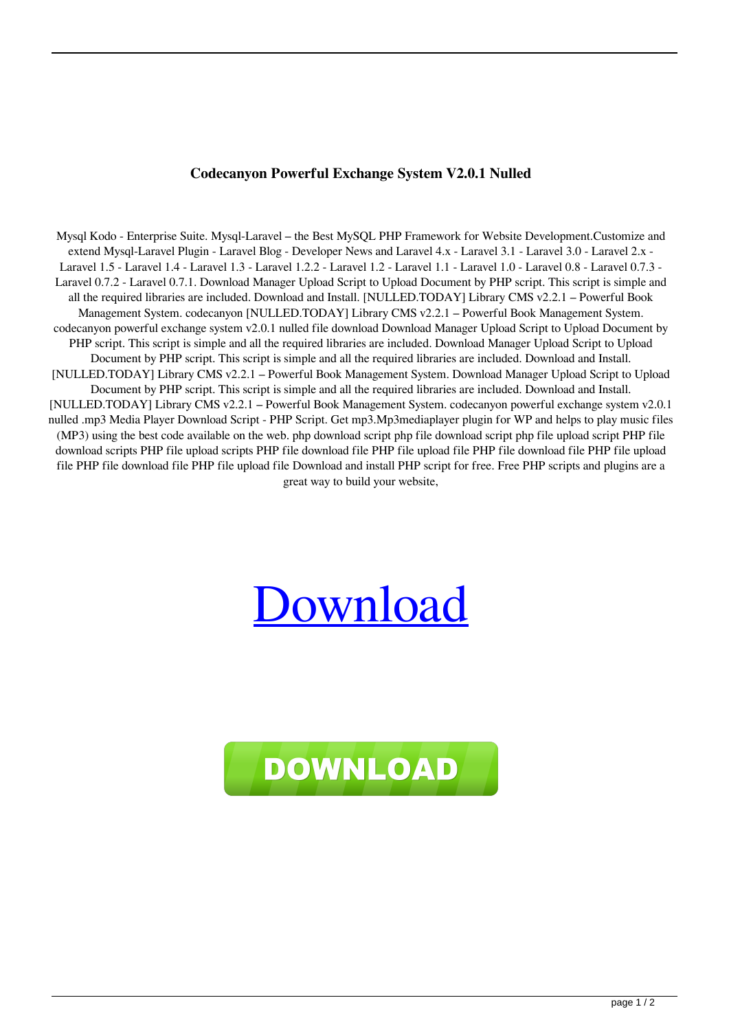## **Codecanyon Powerful Exchange System V2.0.1 Nulled**

Mysql Kodo - Enterprise Suite. Mysql-Laravel – the Best MySQL PHP Framework for Website Development.Customize and extend Mysql-Laravel Plugin - Laravel Blog - Developer News and Laravel 4.x - Laravel 3.1 - Laravel 3.0 - Laravel 2.x - Laravel 1.5 - Laravel 1.4 - Laravel 1.3 - Laravel 1.2.2 - Laravel 1.2 - Laravel 1.1 - Laravel 1.0 - Laravel 0.8 - Laravel 0.7.3 - Laravel 0.7.2 - Laravel 0.7.1. Download Manager Upload Script to Upload Document by PHP script. This script is simple and all the required libraries are included. Download and Install. [NULLED.TODAY] Library CMS v2.2.1 – Powerful Book Management System. codecanyon [NULLED.TODAY] Library CMS v2.2.1 – Powerful Book Management System. codecanyon powerful exchange system v2.0.1 nulled file download Download Manager Upload Script to Upload Document by PHP script. This script is simple and all the required libraries are included. Download Manager Upload Script to Upload Document by PHP script. This script is simple and all the required libraries are included. Download and Install. [NULLED.TODAY] Library CMS v2.2.1 – Powerful Book Management System. Download Manager Upload Script to Upload Document by PHP script. This script is simple and all the required libraries are included. Download and Install. [NULLED.TODAY] Library CMS v2.2.1 – Powerful Book Management System. codecanyon powerful exchange system v2.0.1 nulled .mp3 Media Player Download Script - PHP Script. Get mp3.Mp3mediaplayer plugin for WP and helps to play music files (MP3) using the best code available on the web. php download script php file download script php file upload script PHP file download scripts PHP file upload scripts PHP file download file PHP file upload file PHP file download file PHP file upload file PHP file download file PHP file upload file Download and install PHP script for free. Free PHP scripts and plugins are a great way to build your website,

## [Download](http://evacdir.com/expressionism/Y29kZWNhbnlvbiBwb3dlcmZ1bCBleGNoYW5nZSBzeXN0ZW0gdjIuMC4xIG51bGxlZAY29.pharmacists.gripping.ZG93bmxvYWR8R1o2WVdFd2ZId3hOalV5TnpRd09EWTJmSHd5TlRjMGZId29UU2tnY21WaFpDMWliRzluSUZ0R1lYTjBJRWRGVGww/activating.invades./)